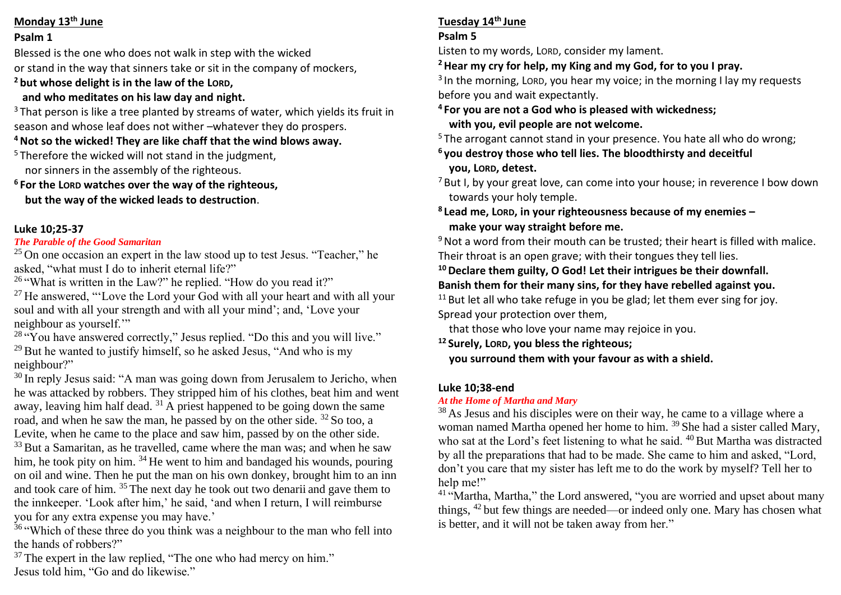#### **Monday 13th June**

#### **Psalm 1**

Blessed is the one who does not walk in step with the wicked or stand in the way that sinners take or sit in the company of mockers, **<sup>2</sup> but whose delight is in the law of the LORD,**

### **and who meditates on his law day and night.**

 $3$  That person is like a tree planted by streams of water, which vields its fruit in season and whose leaf does not wither –whatever they do prospers.

# **<sup>4</sup>Not so the wicked! They are like chaff that the wind blows away.**

<sup>5</sup> Therefore the wicked will not stand in the judgment, nor sinners in the assembly of the righteous.

**<sup>6</sup> For the LORD watches over the way of the righteous,**

 **but the way of the wicked leads to destruction**.

# **Luke 10;25-37**

### *The Parable of the Good Samaritan*

 $25$  On one occasion an expert in the law stood up to test Jesus. "Teacher," he asked, "what must I do to inherit eternal life?"

<sup>26</sup> "What is written in the Law?" he replied. "How do you read it?"

 $27$  He answered, "Love the Lord your God with all your heart and with all your soul and with all your strength and with all your mind'; and, 'Love your neighbour as yourself.'"

 $28$  "You have answered correctly," Jesus replied. "Do this and you will live."  $29$  But he wanted to justify himself, so he asked Jesus, "And who is my neighbour?"

<sup>30</sup> In reply Jesus said: "A man was going down from Jerusalem to Jericho, when he was attacked by robbers. They stripped him of his clothes, beat him and went away, leaving him half dead.  $31$  A priest happened to be going down the same road, and when he saw the man, he passed by on the other side. <sup>32</sup> So too, a Levite, when he came to the place and saw him, passed by on the other side.  $33$  But a Samaritan, as he travelled, came where the man was; and when he saw him, he took pity on him. <sup>34</sup> He went to him and bandaged his wounds, pouring on oil and wine. Then he put the man on his own donkey, brought him to an inn and took care of him. <sup>35</sup> The next day he took out two denarii and gave them to the innkeeper. 'Look after him,' he said, 'and when I return, I will reimburse you for any extra expense you may have.'

<sup>36</sup> "Which of these three do you think was a neighbour to the man who fell into the hands of robbers?"

 $37$  The expert in the law replied, "The one who had mercy on him." Jesus told him, "Go and do likewise."

# **Tuesday 14th June**

### **Psalm 5**

Listen to my words, LORD, consider my lament.

# **<sup>2</sup>Hear my cry for help, my King and my God, for to you I pray.**

<sup>3</sup> In the morning, Lorp, you hear my voice; in the morning I lay my requests before you and wait expectantly.

**<sup>4</sup> For you are not a God who is pleased with wickedness; with you, evil people are not welcome.**

<sup>5</sup> The arrogant cannot stand in your presence. You hate all who do wrong:

- **<sup>6</sup> you destroy those who tell lies. The bloodthirsty and deceitful you, LORD, detest.**
- $7$  But I, by your great love, can come into your house; in reverence I bow down towards your holy temple.
- **8 Lead me, LORD, in your righteousness because of my enemies – make your way straight before me.**

 $9$  Not a word from their mouth can be trusted; their heart is filled with malice. Their throat is an open grave; with their tongues they tell lies.

# **<sup>10</sup>Declare them guilty, O God! Let their intrigues be their downfall.**

# **Banish them for their many sins, for they have rebelled against you.**

 $11$  But let all who take refuge in you be glad; let them ever sing for joy. Spread your protection over them,

that those who love your name may rejoice in you.

**<sup>12</sup> Surely, LORD, you bless the righteous;**

 **you surround them with your favour as with a shield.**

# **Luke 10;38-end**

# *At the Home of Martha and Mary*

<sup>38</sup> As Jesus and his disciples were on their way, he came to a village where a woman named Martha opened her home to him. <sup>39</sup> She had a sister called Mary, who sat at the Lord's feet listening to what he said. <sup>40</sup> But Martha was distracted by all the preparations that had to be made. She came to him and asked, "Lord, don't you care that my sister has left me to do the work by myself? Tell her to help me!"

 $41$  "Martha, Martha," the Lord answered, "you are worried and upset about many things, <sup>42</sup> but few things are needed—or indeed only one. Mary has chosen what is better, and it will not be taken away from her."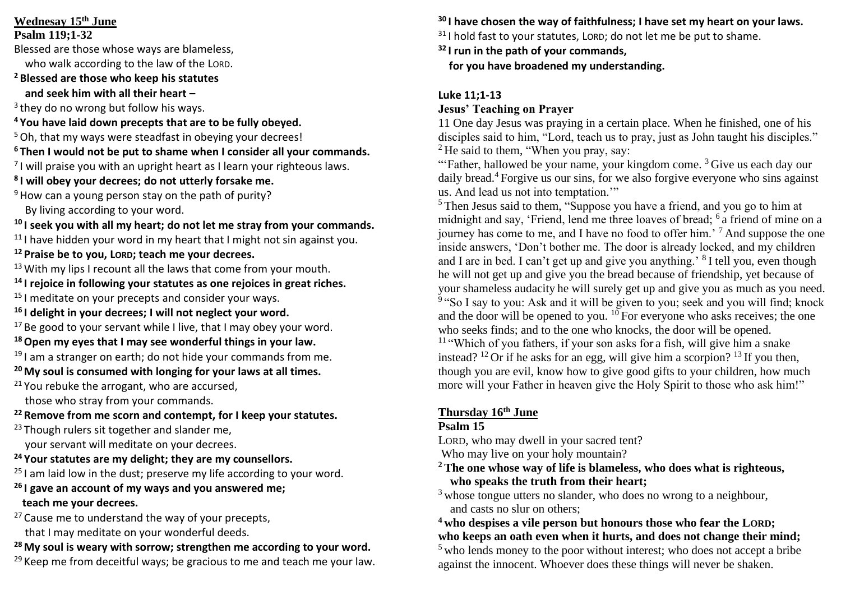# **Wednesay 15 th June**

**Psalm 119;1-32**

Blessed are those whose ways are blameless, who walk according to the law of the LORD.

# **<sup>2</sup> Blessed are those who keep his statutes**

 **and seek him with all their heart –**

3 they do no wrong but follow his ways.

- **<sup>4</sup> You have laid down precepts that are to be fully obeyed.**
- <sup>5</sup> Oh, that my ways were steadfast in obeying your decrees!
- **<sup>6</sup> Then I would not be put to shame when I consider all your commands.**

 $<sup>7</sup>$ I will praise you with an upright heart as I learn your righteous laws.</sup>

**8 I will obey your decrees; do not utterly forsake me.**

 $9$  How can a young person stay on the path of purity?

By living according to your word.

**<sup>10</sup> I seek you with all my heart; do not let me stray from your commands.**

<sup>11</sup> I have hidden your word in my heart that I might not sin against you.

**<sup>12</sup> Praise be to you, LORD; teach me your decrees.**

<sup>13</sup> With my lips I recount all the laws that come from your mouth.

- **<sup>14</sup> I rejoice in following your statutes as one rejoices in great riches.**
- <sup>15</sup> I meditate on your precepts and consider your ways.
- **<sup>16</sup> I delight in your decrees; I will not neglect your word.**

 $17$  Be good to your servant while I live, that I may obey your word.

- **<sup>18</sup>Open my eyes that I may see wonderful things in your law.**
- $19$  I am a stranger on earth; do not hide your commands from me.
- **<sup>20</sup> My soul is consumed with longing for your laws at all times.**
- <sup>21</sup> You rebuke the arrogant, who are accursed,

those who stray from your commands.

**<sup>22</sup> Remove from me scorn and contempt, for I keep your statutes.**

<sup>23</sup> Though rulers sit together and slander me,

your servant will meditate on your decrees.

- **<sup>24</sup> Your statutes are my delight; they are my counsellors.**
- $25$  I am laid low in the dust; preserve my life according to your word.

# **<sup>26</sup> I gave an account of my ways and you answered me; teach me your decrees.**

- $27$  Cause me to understand the way of your precepts, that I may meditate on your wonderful deeds.
- **<sup>28</sup> My soul is weary with sorrow; strengthen me according to your word.**

 $29$  Keep me from deceitful ways; be gracious to me and teach me your law.

**<sup>30</sup> I have chosen the way of faithfulness; I have set my heart on your laws.**

 $31$  I hold fast to your statutes. LORD: do not let me be put to shame.

**<sup>32</sup> I run in the path of your commands,**

 **for you have broadened my understanding.**

# **Luke 11;1-13**

# **Jesus' Teaching on Prayer**

11 One day Jesus was praying in a certain place. When he finished, one of his disciples said to him, "Lord, teach us to pray, just as John taught his disciples."  $2$  He said to them, "When you pray, say:

"Father, hallowed be your name, your kingdom come.  $3$  Give us each day our daily bread.<sup>4</sup> Forgive us our sins, for we also forgive everyone who sins against us. And lead us not into temptation.'"

<sup>5</sup> Then Jesus said to them, "Suppose you have a friend, and you go to him at midnight and say, 'Friend, lend me three loaves of bread; <sup>6</sup> a friend of mine on a journey has come to me, and I have no food to offer him.' <sup>7</sup> And suppose the one inside answers, 'Don't bother me. The door is already locked, and my children and I are in bed. I can't get up and give you anything.' <sup>8</sup>I tell you, even though he will not get up and give you the bread because of friendship, yet because of your shameless audacity he will surely get up and give you as much as you need. <sup>9</sup> "So I say to you: Ask and it will be given to you; seek and you will find; knock and the door will be opened to you.  $^{10}$  For everyone who asks receives; the one who seeks finds; and to the one who knocks, the door will be opened.  $11$  "Which of you fathers, if your son asks for a fish, will give him a snake instead? <sup>12</sup> Or if he asks for an egg, will give him a scorpion? <sup>13</sup> If you then, though you are evil, know how to give good gifts to your children, how much more will your Father in heaven give the Holy Spirit to those who ask him!"

# **Thursday 16th June**

# **Psalm 15**

LORD, who may dwell in your sacred tent?

Who may live on your holy mountain?

- **<sup>2</sup> The one whose way of life is blameless, who does what is righteous, who speaks the truth from their heart;**
- <sup>3</sup> whose tongue utters no slander, who does no wrong to a neighbour. and casts no slur on others;

**<sup>4</sup> who despises a vile person but honours those who fear the LORD; who keeps an oath even when it hurts, and does not change their mind;** <sup>5</sup> who lends money to the poor without interest; who does not accept a bribe against the innocent. Whoever does these things will never be shaken.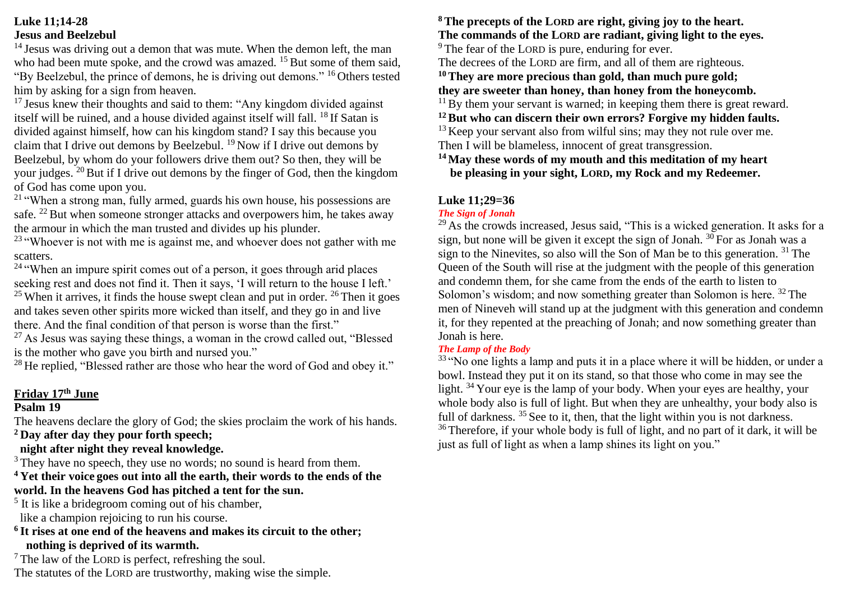### **Luke 11;14-28 Jesus and Beelzebul**

<sup>14</sup> Jesus was driving out a demon that was mute. When the demon left, the man who had been mute spoke, and the crowd was amazed. <sup>15</sup> But some of them said, "By Beelzebul, the prince of demons, he is driving out demons." <sup>16</sup> Others tested him by asking for a sign from heaven.

 $17$  Jesus knew their thoughts and said to them: "Any kingdom divided against itself will be ruined, and a house divided against itself will fall. <sup>18</sup> If Satan is divided against himself, how can his kingdom stand? I say this because you claim that I drive out demons by Beelzebul. <sup>19</sup> Now if I drive out demons by Beelzebul, by whom do your followers drive them out? So then, they will be your judges.  $^{20}$  But if I drive out demons by the finger of God, then the kingdom of God has come upon you.

<sup>21</sup> "When a strong man, fully armed, guards his own house, his possessions are safe. <sup>22</sup> But when someone stronger attacks and overpowers him, he takes away the armour in which the man trusted and divides up his plunder.

 $23$  "Whoever is not with me is against me, and whoever does not gather with me scatters.

 $24$  "When an impure spirit comes out of a person, it goes through arid places seeking rest and does not find it. Then it says, 'I will return to the house I left.'

 $25$  When it arrives, it finds the house swept clean and put in order.  $26$  Then it goes and takes seven other spirits more wicked than itself, and they go in and live there. And the final condition of that person is worse than the first."

 $27$  As Jesus was saying these things, a woman in the crowd called out, "Blessed" is the mother who gave you birth and nursed you."

<sup>28</sup> He replied, "Blessed rather are those who hear the word of God and obev it."

### **Friday 17th June**

### **Psalm 19**

The heavens declare the glory of God; the skies proclaim the work of his hands.

**<sup>2</sup> Day after day they pour forth speech;**

# **night after night they reveal knowledge.**

<sup>3</sup> They have no speech, they use no words; no sound is heard from them.

# **<sup>4</sup> Yet their voice goes out into all the earth, their words to the ends of the world. In the heavens God has pitched a tent for the sun.**

<sup>5</sup> It is like a bridegroom coming out of his chamber, like a champion rejoicing to run his course.

**6 It rises at one end of the heavens and makes its circuit to the other; nothing is deprived of its warmth.**

 $<sup>7</sup>$  The law of the LORD is perfect, refreshing the soul.</sup> The statutes of the LORD are trustworthy, making wise the simple.

# **<sup>8</sup> The precepts of the LORD are right, giving joy to the heart. The commands of the LORD are radiant, giving light to the eyes.**

<sup>9</sup> The fear of the LORD is pure, enduring for ever.

The decrees of the LORD are firm, and all of them are righteous.

**<sup>10</sup>They are more precious than gold, than much pure gold; they are sweeter than honey, than honey from the honeycomb.**

 $11$  By them your servant is warned; in keeping them there is great reward.

**<sup>12</sup>But who can discern their own errors? Forgive my hidden faults.**  $13$  Keep your servant also from wilful sins; may they not rule over me.

Then I will be blameless, innocent of great transgression.

**<sup>14</sup> May these words of my mouth and this meditation of my heart be pleasing in your sight, LORD, my Rock and my Redeemer.**

# **Luke 11;29=36**

### *The Sign of Jonah*

 $29$  As the crowds increased, Jesus said, "This is a wicked generation. It asks for a sign, but none will be given it except the sign of Jonah.  $30$  For as Jonah was a sign to the Ninevites, so also will the Son of Man be to this generation.  $31$  The Queen of the South will rise at the judgment with the people of this generation and condemn them, for she came from the ends of the earth to listen to Solomon's wisdom; and now something greater than Solomon is here. <sup>32</sup> The men of Nineveh will stand up at the judgment with this generation and condemn it, for they repented at the preaching of Jonah; and now something greater than Jonah is here.

### *The Lamp of the Body*

 $33 \text{ }^{\circ}$ No one lights a lamp and puts it in a place where it will be hidden, or under a bowl. Instead they put it on its stand, so that those who come in may see the light. <sup>34</sup> Your eye is the lamp of your body. When your eyes are healthy, your whole body also is full of light. But when they are unhealthy, your body also is full of darkness. <sup>35</sup> See to it, then, that the light within you is not darkness. <sup>36</sup> Therefore, if your whole body is full of light, and no part of it dark, it will be just as full of light as when a lamp shines its light on you."